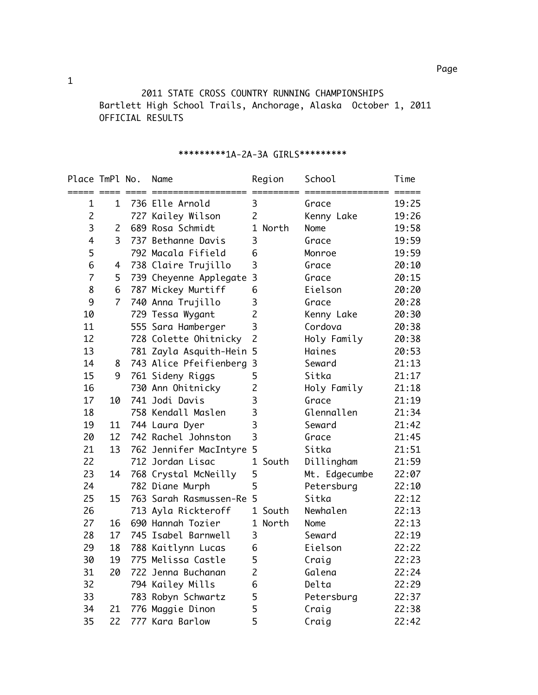2011 STATE CROSS COUNTRY RUNNING CHAMPIONSHIPS Bartlett High School Trails, Anchorage, Alaska October 1, 2011 OFFICIAL RESULTS

| Place TmPl No. |                | Name                     | Region                   |      | School        | Time  |
|----------------|----------------|--------------------------|--------------------------|------|---------------|-------|
| $\mathbf 1$    | $\mathbf{1}$   | 736 Elle Arnold          | 3                        |      | Grace         | 19:25 |
| $\overline{c}$ |                | 727 Kailey Wilson        | $\overline{c}$           |      | Kenny Lake    | 19:26 |
| 3              | $\overline{2}$ | 689 Rosa Schmidt         | 1 North                  | Nome |               | 19:58 |
| $\overline{4}$ | 3              | 737 Bethanne Davis       | 3                        |      | Grace         | 19:59 |
| 5              |                | 792 Macala Fifield       | 6                        |      | Monroe        | 19:59 |
| 6              | 4              | 738 Claire Trujillo      | $\overline{3}$           |      | Grace         | 20:10 |
| $\overline{7}$ | 5              | 739 Cheyenne Applegate   | $\overline{3}$           |      | Grace         | 20:15 |
| 8              | 6              | 787 Mickey Murtiff       | 6                        |      | Eielson       | 20:20 |
| 9              | $\overline{7}$ | 740 Anna Trujillo        | 3                        |      | Grace         | 20:28 |
| 10             |                | 729 Tessa Wygant         | $\overline{c}$           |      | Kenny Lake    | 20:30 |
| 11             |                | 555 Sara Hamberger       | $\overline{3}$           |      | Cordova       | 20:38 |
| 12             |                | 728 Colette Ohitnicky    | $\overline{2}$           |      | Holy Family   | 20:38 |
| 13             |                | 781 Zayla Asquith-Hein   | 5                        |      | Haines        | 20:53 |
| 14             | 8              | 743 Alice Pfeifienberg   | 3                        |      | Seward        | 21:13 |
| 15             | 9              | 761 Sideny Riggs         | 5                        |      | Sitka         | 21:17 |
| 16             |                | 730 Ann Ohitnicky        | $\overline{c}$           |      | Holy Family   | 21:18 |
| 17             | 10             | 741 Jodi Davis           | 3                        |      | Grace         | 21:19 |
| 18             |                | 758 Kendall Maslen       | 3                        |      | Glennallen    | 21:34 |
| 19             | 11             | 744 Laura Dyer           | $\overline{3}$<br>Seward |      | 21:42         |       |
| 20             | 12             | 742 Rachel Johnston      | 3                        |      | Grace         | 21:45 |
| 21             | 13             | 762 Jennifer MacIntyre   | 5                        |      | Sitka         | 21:51 |
| 22             |                | 712 Jordan Lisac         | 1 South                  |      | Dillingham    | 21:59 |
| 23             | 14             | 768 Crystal McNeilly     | 5                        |      | Mt. Edgecumbe | 22:07 |
| 24             |                | 782 Diane Murph          | 5                        |      | Petersburg    | 22:10 |
| 25             | 15             | 763 Sarah Rasmussen-Re 5 |                          |      | Sitka         | 22:12 |
| 26             |                | 713 Ayla Rickteroff      | 1 South                  |      | Newhalen      | 22:13 |
| 27             | 16             | 690 Hannah Tozier        | 1 North                  | Nome |               | 22:13 |
| 28             | 17             | 745 Isabel Barnwell      | 3                        |      | Seward        | 22:19 |
| 29             | 18             | 788 Kaitlynn Lucas       | 6                        |      | Eielson       | 22:22 |
| 30             | 19             | 775 Melissa Castle       | 5                        |      | Craig         | 22:23 |
| 31             | 20             | 722 Jenna Buchanan       | $\overline{2}$           |      | Galena        | 22:24 |
| 32             |                | 794 Kailey Mills         | 6                        |      | Delta         | 22:29 |
| 33             |                | 783 Robyn Schwartz       | 5                        |      | Petersburg    | 22:37 |
| 34             | 21             | 776 Maggie Dinon         | 5                        |      | Craig         | 22:38 |
| 35             | 22             | 777 Kara Barlow          | 5                        |      | Craig         | 22:42 |

## \*\*\*\*\*\*\*\*\*1A-2A-3A GIRLS\*\*\*\*\*\*\*\*\*

1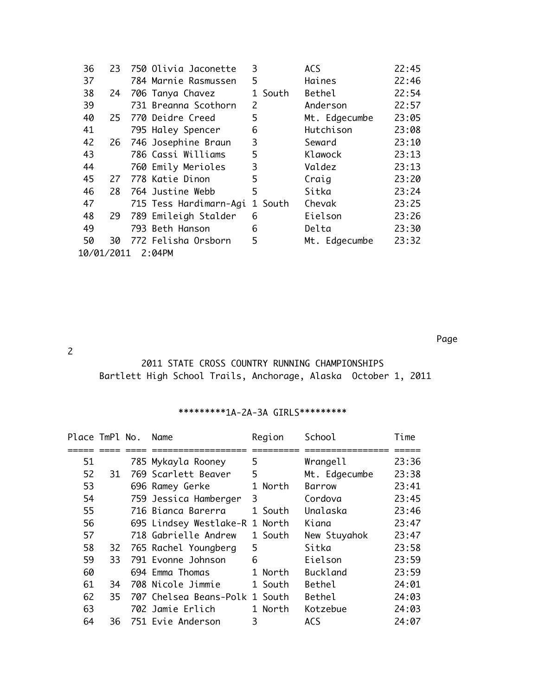| 36                   | 23. |  | 750 Olivia Jaconette   | 3       | <b>ACS</b>    | 22:45 |  |
|----------------------|-----|--|------------------------|---------|---------------|-------|--|
| 37                   |     |  | 784 Marnie Rasmussen   | 5       | Haines        | 22:46 |  |
| 38                   | 24  |  | 706 Tanya Chavez       | 1 South | Bethel        | 22:54 |  |
| 39                   |     |  | 731 Breanna Scothorn   | 2       | Anderson      | 22:57 |  |
| 40                   | 25  |  | 770 Deidre Creed       | 5       | Mt. Edgecumbe | 23:05 |  |
| 41                   |     |  | 795 Haley Spencer      | 6       | Hutchison     | 23:08 |  |
| 42                   |     |  | 26 746 Josephine Braun | 3       | Seward        | 23:10 |  |
| 43                   |     |  | 786 Cassi Williams     | 5       | Klawock       | 23:13 |  |
| 44                   |     |  | 760 Emily Merioles     | 3       | Valdez        | 23:13 |  |
| 45                   | 27  |  | 778 Katie Dinon        | 5       | Craig         | 23:20 |  |
| 46                   | 28  |  | 764 Justine Webb       | 5       | Sitka         | 23:24 |  |
| 47                   |     |  | 715 Tess Hardimarn-Agi | 1 South | Chevak        | 23:25 |  |
| 48                   | 29  |  | 789 Emileigh Stalder   | 6       | Eielson       | 23:26 |  |
| 49                   |     |  | 793 Beth Hanson        | 6       | Delta         | 23:30 |  |
| 50                   | 30  |  | 772 Felisha Orsborn    | 5       | Mt. Edgecumbe | 23:32 |  |
| 10/01/2011<br>2:04PM |     |  |                        |         |               |       |  |

na a bhainn ann an 1972. Tha ann an 1972 agus an 1972 agus an 1972 agus an 1972 agus an 1972. Tha an 1972 agus

2

## 2011 STATE CROSS COUNTRY RUNNING CHAMPIONSHIPS Bartlett High School Trails, Anchorage, Alaska October 1, 2011

## \*\*\*\*\*\*\*\*\*1A-2A-3A GIRLS\*\*\*\*\*\*\*\*\*

| Place TmPl No. |     | Name                           | Region                | School          | Time  |
|----------------|-----|--------------------------------|-----------------------|-----------------|-------|
|                |     |                                |                       |                 |       |
| 51             |     | 785 Mykayla Rooney             | 5                     | Wrangell        | 23:36 |
| 52             | 31  | 769 Scarlett Beaver            | 5                     | Mt. Edgecumbe   | 23:38 |
| 53             |     | 696 Ramey Gerke                | North<br>$\mathbf{1}$ | Barrow          | 23:41 |
| 54             |     | 759 Jessica Hamberger          | 3                     | Cordova         | 23:45 |
| 55             |     | 716 Bianca Barerra             | 1 South               | Unalaska        | 23:46 |
| 56             |     | 695 Lindsey Westlake-R 1 North |                       | Kiana           | 23:47 |
| 57             |     | 718 Gabrielle Andrew           | 1 South               | New Stuyahok    | 23:47 |
| 58             | 32  | 765 Rachel Youngberg           | 5                     | Sitka           | 23:58 |
| 59             | 33. | 791 Evonne Johnson             | 6                     | Eielson         | 23:59 |
| 60             |     | 694 Emma Thomas                | 1 North               | <b>Buckland</b> | 23:59 |
| 61             | 34  | 708 Nicole Jimmie              | 1 South               | Bethel          | 24:01 |
| 62             | 35. | 707 Chelsea Beans-Polk 1 South |                       | Bethel          | 24:03 |
| 63             |     | 702 Jamie Erlich               | 1 North               | Kotzebue        | 24:03 |
| 64             | 36  | 751 Evie Anderson              | 3                     | <b>ACS</b>      | 24:07 |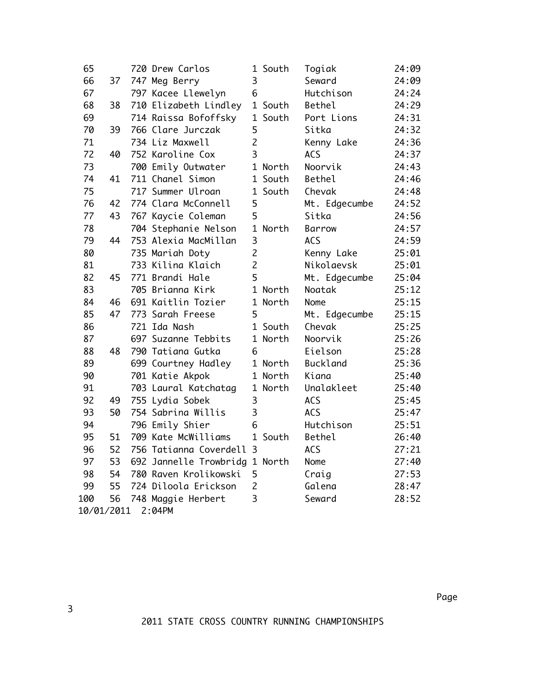| 65                   |    |  | 720 Drew Carlos                |                | 1 South | Togiak          | 24:09 |  |
|----------------------|----|--|--------------------------------|----------------|---------|-----------------|-------|--|
| 66                   | 37 |  | 747 Meg Berry                  | 3              |         | Seward          | 24:09 |  |
| 67                   |    |  | 797 Kacee Llewelyn             | 6              |         | Hutchison       | 24:24 |  |
| 68                   | 38 |  | 710 Elizabeth Lindley          |                | 1 South | Bethel          | 24:29 |  |
| 69                   |    |  | 714 Raissa Bofoffsky           |                | 1 South | Port Lions      | 24:31 |  |
| 70                   | 39 |  | 766 Clare Jurczak              | 5              |         | Sitka           | 24:32 |  |
| 71                   |    |  | 734 Liz Maxwell                | $\overline{c}$ |         | Kenny Lake      | 24:36 |  |
| 72                   | 40 |  | 752 Karoline Cox               | 3              |         | <b>ACS</b>      | 24:37 |  |
| 73                   |    |  | 700 Emily Outwater             |                | 1 North | Noorvik         | 24:43 |  |
| 74                   | 41 |  | 711 Chanel Simon               |                | 1 South | Bethel          | 24:46 |  |
| 75                   |    |  | 717 Summer Ulroan              |                | 1 South | Chevak          | 24:48 |  |
| 76                   | 42 |  | 774 Clara McConnell            | 5              |         | Mt. Edgecumbe   | 24:52 |  |
| 77                   | 43 |  | 767 Kaycie Coleman             | 5              |         | Sitka           | 24:56 |  |
| 78                   |    |  | 704 Stephanie Nelson           |                | 1 North | Barrow          | 24:57 |  |
| 79                   | 44 |  | 753 Alexia MacMillan           | 3              |         | <b>ACS</b>      | 24:59 |  |
| 80                   |    |  | 735 Mariah Doty                | $\overline{c}$ |         | Kenny Lake      | 25:01 |  |
| 81                   |    |  | 733 Kilina Klaich              | $\overline{c}$ |         | Nikolaevsk      | 25:01 |  |
| 82                   | 45 |  | 771 Brandi Hale                | 5              |         | Mt. Edgecumbe   | 25:04 |  |
| 83                   |    |  | 705 Brianna Kirk               |                | 1 North | Noatak          | 25:12 |  |
| 84                   | 46 |  | 691 Kaitlin Tozier             |                | 1 North | Nome            | 25:15 |  |
| 85                   | 47 |  | 773 Sarah Freese               | 5              |         | Mt. Edgecumbe   | 25:15 |  |
| 86                   |    |  | 721 Ida Nash                   |                | 1 South | Chevak          | 25:25 |  |
| 87                   |    |  | 697 Suzanne Tebbits            |                | 1 North | Noorvik         | 25:26 |  |
| 88                   | 48 |  | 790 Tatiana Gutka              | 6              |         | Eielson         | 25:28 |  |
| 89                   |    |  | 699 Courtney Hadley            |                | 1 North | <b>Buckland</b> | 25:36 |  |
| 90                   |    |  | 701 Katie Akpok                |                | 1 North | Kiana           | 25:40 |  |
| 91                   |    |  | 703 Laural Katchatag           |                | 1 North | Unalakleet      | 25:40 |  |
| 92                   | 49 |  | 755 Lydia Sobek                | 3              |         | <b>ACS</b>      | 25:45 |  |
| 93                   | 50 |  | 754 Sabrina Willis             | 3              |         | <b>ACS</b>      | 25:47 |  |
| 94                   |    |  | 796 Emily Shier                | 6              |         | Hutchison       | 25:51 |  |
| 95                   | 51 |  | 709 Kate McWilliams            |                | 1 South | Bethel          | 26:40 |  |
| 96                   | 52 |  | 756 Tatianna Coverdell 3       |                |         | <b>ACS</b>      | 27:21 |  |
| 97                   | 53 |  | 692 Jannelle Trowbridg 1 North |                |         | Nome            | 27:40 |  |
| 98                   | 54 |  | 780 Raven Krolikowski          | 5              |         | Craig           | 27:53 |  |
| 99                   | 55 |  | 724 Diloola Erickson           | $\overline{c}$ |         | Galena          | 28:47 |  |
| 100                  | 56 |  | 748 Maggie Herbert             | $\overline{3}$ |         | Seward          | 28:52 |  |
| 2:04PM<br>10/01/2011 |    |  |                                |                |         |                 |       |  |

na a bhainn ann an 1972. Tha ann an 1972 agus an 1972 agus an 1972 agus an 1972 agus an 1972. Tha an 1972 agus

2011 STATE CROSS COUNTRY RUNNING CHAMPIONSHIPS

3